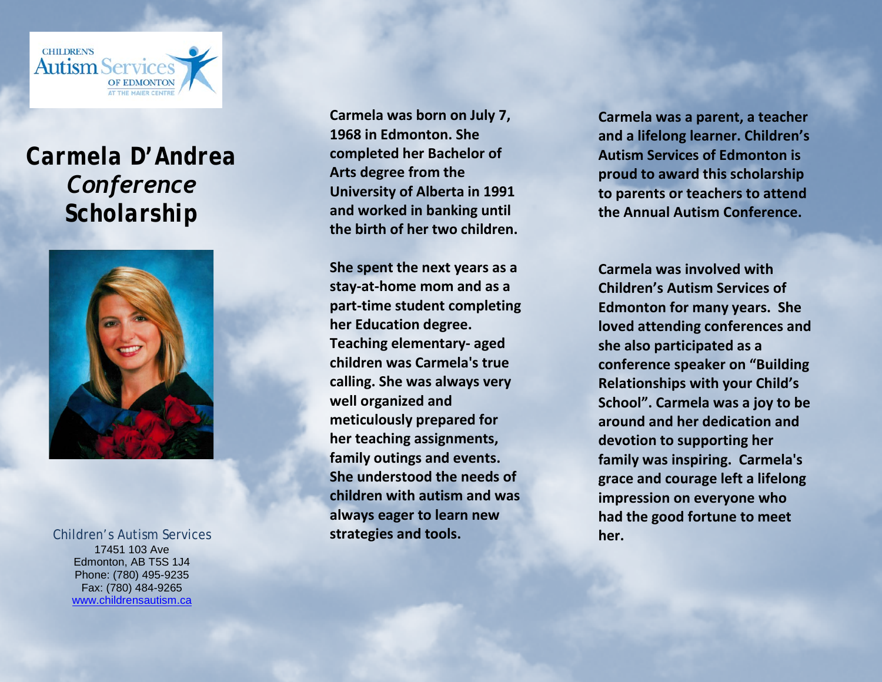

## *Carmela D'Andrea Conference Scholarship*



17451 103 Ave Edmonton, AB T5S 1J4 Phone: (780) 495-9235 Fax: (780) 484-9265 [www.childrensautism.ca](http://www.childrensautism.ca/)  **Carmela was born on July 7, 1968 in Edmonton. She completed her Bachelor of Arts degree from the University of Alberta in 1991 and worked in banking until the birth of her two children.** 

**She spent the next years as a stay-at-home mom and as a part-time student completing her Education degree. Teaching elementary- aged children was Carmela's true calling. She was always very well organized and meticulously prepared for her teaching assignments, family outings and events. She understood the needs of children with autism and was always eager to learn new strategies and tools.**  Children's Autism Services **her. her. her. her. her. her.** 

**Carmela was a parent, a teacher and a lifelong learner. Children's Autism Services of Edmonton is proud to award this scholarship to parents or teachers to attend the Annual Autism Conference.** 

**Carmela was involved with Children's Autism Services of Edmonton for many years. She loved attending conferences and she also participated as a conference speaker on "Building Relationships with your Child's School". Carmela was a joy to be around and her dedication and devotion to supporting her family was inspiring. Carmela's grace and courage left a lifelong impression on everyone who had the good fortune to meet**